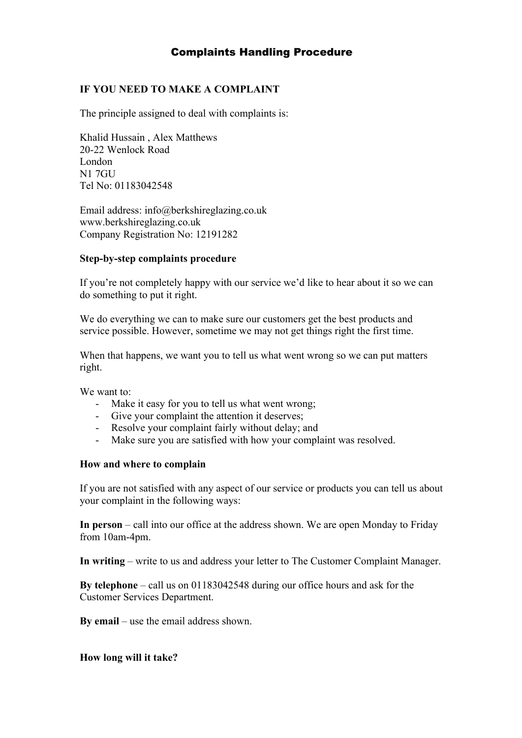## Complaints Handling Procedure

## **IF YOU NEED TO MAKE A COMPLAINT**

The principle assigned to deal with complaints is:

Khalid Hussain , Alex Matthews 20-22 Wenlock Road London N1 7GU Tel No: 01183042548

Email address: info@berkshireglazing.co.uk www.berkshireglazing.co.uk Company Registration No: 12191282

#### **Step-by-step complaints procedure**

If you're not completely happy with our service we'd like to hear about it so we can do something to put it right.

We do everything we can to make sure our customers get the best products and service possible. However, sometime we may not get things right the first time.

When that happens, we want you to tell us what went wrong so we can put matters right.

We want to:

- Make it easy for you to tell us what went wrong;
- Give your complaint the attention it deserves;
- Resolve your complaint fairly without delay; and
- Make sure you are satisfied with how your complaint was resolved.

#### **How and where to complain**

If you are not satisfied with any aspect of our service or products you can tell us about your complaint in the following ways:

**In person** – call into our office at the address shown. We are open Monday to Friday from 10am-4pm.

**In writing** – write to us and address your letter to The Customer Complaint Manager.

**By telephone** – call us on 01183042548 during our office hours and ask for the Customer Services Department.

**By email** – use the email address shown.

**How long will it take?**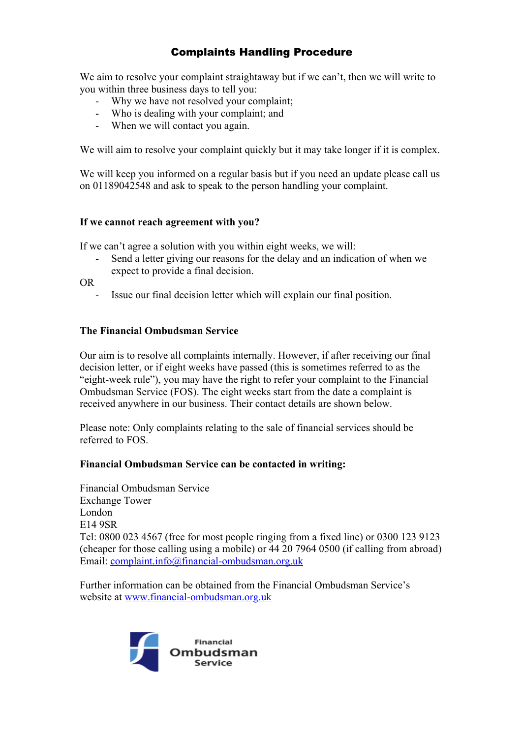# Complaints Handling Procedure

We aim to resolve your complaint straightaway but if we can't, then we will write to you within three business days to tell you:

- Why we have not resolved your complaint;
- Who is dealing with your complaint; and
- When we will contact you again.

We will aim to resolve your complaint quickly but it may take longer if it is complex.

We will keep you informed on a regular basis but if you need an update please call us on 01189042548 and ask to speak to the person handling your complaint.

### **If we cannot reach agreement with you?**

If we can't agree a solution with you within eight weeks, we will:

Send a letter giving our reasons for the delay and an indication of when we expect to provide a final decision.

OR

Issue our final decision letter which will explain our final position.

### **The Financial Ombudsman Service**

Our aim is to resolve all complaints internally. However, if after receiving our final decision letter, or if eight weeks have passed (this is sometimes referred to as the "eight-week rule"), you may have the right to refer your complaint to the Financial Ombudsman Service (FOS). The eight weeks start from the date a complaint is received anywhere in our business. Their contact details are shown below.

Please note: Only complaints relating to the sale of financial services should be referred to FOS.

### **Financial Ombudsman Service can be contacted in writing:**

Financial Ombudsman Service Exchange Tower London E14 9SR Tel: 0800 023 4567 (free for most people ringing from a fixed line) or 0300 123 9123 (cheaper for those calling using a mobile) or 44 20 7964 0500 (if calling from abroad) Email: complaint.info@financial-ombudsman.org.uk

Further information can be obtained from the Financial Ombudsman Service's website at www.financial-ombudsman.org.uk